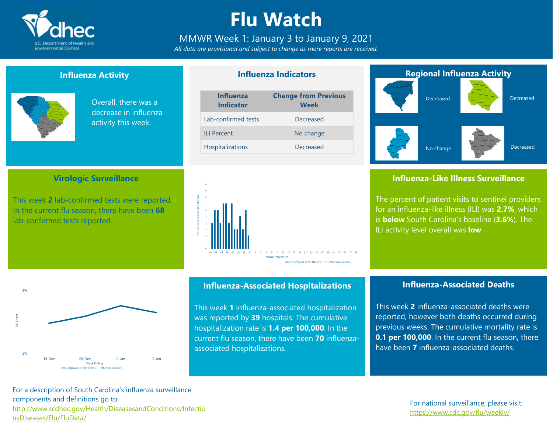

# **Flu Watch**

### MMWR Week 1: January 3 to January 9, 2021

*All data are provisional and subject to change as more reports are received.*

### **Influenza Activity**

**Virologic Surveillance**

This week **2** lab-confirmed tests were reported. In the current flu season, there have been **68**

lab-confirmed tests reported.



Overall, there was a decrease in influenza activity this week.

### **Influenza Indicators**

| <b>Influenza</b><br><b>Indicator</b> | <b>Change from Previous</b><br><b>Week</b> |
|--------------------------------------|--------------------------------------------|
| Lab-confirmed tests                  | Decreased                                  |
| II I Percent                         | No change                                  |
| Hospitalizations                     | Decreased                                  |



### **Regional Influenza Activity** Decreased No change Decreased Decreased

### **Influenza-Like Illness Surveillance**

The percent of patient visits to sentinel providers for an influenza-like illness (ILI) was **2.7%**, which is **below** South Carolina's baseline (**3.6%**). The ILI activity level overall was **low**.



#### **Influenza-Associated Hospitalizations**

This week **1** influenza-associated hospitalization was reported by **39** hospitals. The cumulative hospitalization rate is **1.4 per 100,000**. In the current flu season, there have been **70** influenzaassociated hospitalizations.

### **Influenza-Associated Deaths**

This week **2** influenza-associated deaths were reported, however both deaths occurred during previous weeks. The cumulative mortality rate is **0.1 per 100,000**. In the current flu season, there have been **7** influenza-associated deaths.

For a description of South Carolina's influenza surveillance components and definitions go to: [http://www.scdhec.gov/Health/DiseasesandConditions/Infectio](http://www.scdhec.gov/Health/DiseasesandConditions/InfectiousDiseases/Flu/FluData/) [usDiseases/Flu/FluData/](http://www.scdhec.gov/Health/DiseasesandConditions/InfectiousDiseases/Flu/FluData/)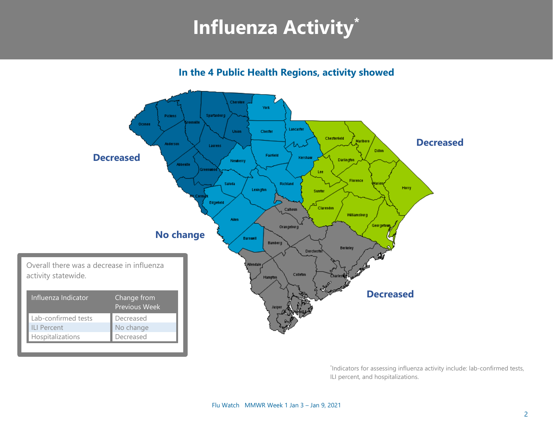# **Influenza Activity\***

**In the 4 Public Health Regions, activity showed**



\* Indicators for assessing influenza activity include: lab-confirmed tests, ILI percent, and hospitalizations.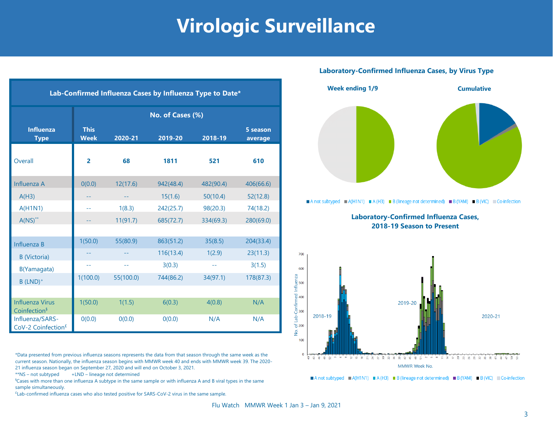# **Virologic Surveillance**

| Lab-Confirmed Influenza Cases by Influenza Type to Date* |                            |           |           |            |                     |  |
|----------------------------------------------------------|----------------------------|-----------|-----------|------------|---------------------|--|
|                                                          | No. of Cases (%)           |           |           |            |                     |  |
| <b>Influenza</b><br><b>Type</b>                          | <b>This</b><br><b>Week</b> | 2020-21   | 2019-20   | 2018-19    | 5 season<br>average |  |
| Overall                                                  | $\overline{2}$             | 68        | 1811      | 521        | 610                 |  |
| Influenza A                                              | 0(0.0)                     | 12(17.6)  | 942(48.4) | 482(90.4)  | 406(66.6)           |  |
| A(H3)                                                    |                            |           | 15(1.6)   | 50(10.4)   | 52(12.8)            |  |
| A(H1N1)                                                  | --                         | 1(8.3)    | 242(25.7) | 98(20.3)   | 74(18.2)            |  |
| $A(NS)^{**}$                                             | --                         | 11(91.7)  | 685(72.7) | 334(69.3)  | 280(69.0)           |  |
|                                                          |                            |           |           |            |                     |  |
| Influenza B                                              | 1(50.0)                    | 55(80.9)  | 863(51.2) | 35(8.5)    | 204(33.4)           |  |
| <b>B</b> (Victoria)                                      | --                         |           | 116(13.4) | 1(2.9)     | 23(11.3)            |  |
| B(Yamagata)                                              | --                         | --        | 3(0.3)    | $\sim$ $-$ | 3(1.5)              |  |
| $B$ (LND) <sup>+</sup>                                   | 1(100.0)                   | 55(100.0) | 744(86.2) | 34(97.1)   | 178(87.3)           |  |
|                                                          |                            |           |           |            |                     |  |
| <b>Influenza Virus</b><br>Coinfection <sup>§</sup>       | 1(50.0)                    | 1(1.5)    | 6(0.3)    | 4(0.8)     | N/A                 |  |
| Influenza/SARS-<br>CoV-2 Coinfection <sup>£</sup>        | 0(0.0)                     | 0(0.0)    | 0(0.0)    | N/A        | N/A                 |  |

\*Data presented from previous influenza seasons represents the data from that season through the same week as the current season. Nationally, the influenza season begins with MMWR week 40 and ends with MMWR week 39. The 2020- 21 influenza season began on September 27, 2020 and will end on October 3, 2021.

\*\*NS – not subtyped +LND – lineage not determined

§Cases with more than one influenza A subtype in the same sample or with influenza A and B viral types in the same sample simultaneously.

£ Lab-confirmed influenza cases who also tested positive for SARS-CoV-2 virus in the same sample.

#### **Laboratory-Confirmed Influenza Cases, by Virus Type**



A not subtyped A (H1N1) A (H3) B (lineage not determined) B (YAM) B (VIC) Co-infection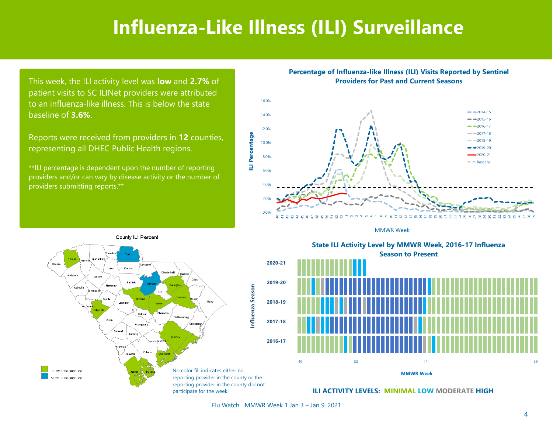### **Influenza-Like Illness (ILI) Surveillance**

This week, the ILI activity level was **low** and **2.7%** of patient visits to SC ILINet providers were attributed to an influenza-like illness. This is below the state baseline of **3.6%**.

Reports were received from providers in **12** counties, representing all DHEC Public Health regions.

\*\*ILI percentage is dependent upon the number of reporting providers and/or can vary by disease activity or the number of providers submitting reports.\*\*

#### **Percentage of Influenza-like Illness (ILI) Visits Reported by Sentinel Providers for Past and Current Seasons**



**MMWR Week** 



State ILI Activity Level by MMWR Week, 2016-17 Influenza **Season to Present** Season to Present **State ILI Activity Level by MMWR Week, 2016-17 Influenza**



**ILI ACTIVITY LEVELS: MINIMAL LOW MODERATE HIGH**

Flu Watch MMWR Week 1 Jan 3 – Jan 9, 2021